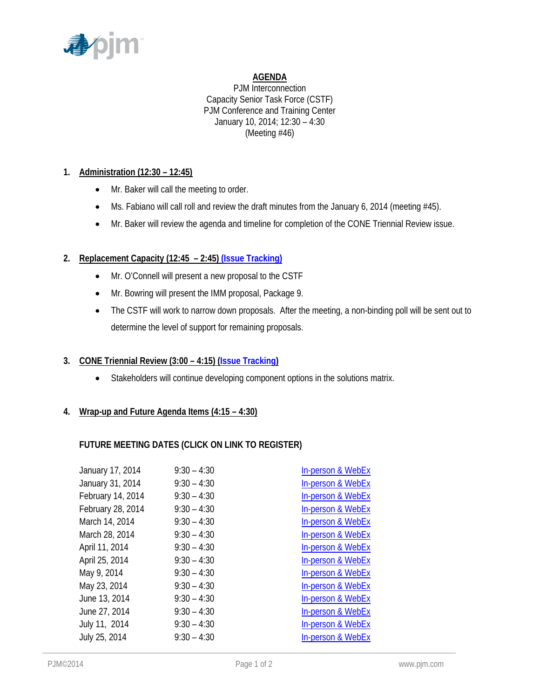

# **AGENDA**

PJM Interconnection Capacity Senior Task Force (CSTF) PJM Conference and Training Center January 10, 2014; 12:30 – 4:30 (Meeting #46)

# **1. Administration (12:30 – 12:45)**

- Mr. Baker will call the meeting to order.
- Ms. Fabiano will call roll and review the draft minutes from the January 6, 2014 (meeting #45).
- Mr. Baker will review the agenda and timeline for completion of the CONE Triennial Review issue.

# **2. Replacement Capacity (12:45 – 2:45) (Issue Tracking)**

- Mr. O'Connell will present a new proposal to the CSTF
- Mr. Bowring will present the IMM proposal, Package 9.
- The CSTF will work to narrow down proposals. After the meeting, a non-binding poll will be sent out to determine the level of support for remaining proposals.

## **3. CONE Triennial Review (3:00 – 4:15) (Issue Tracking)**

• Stakeholders will continue developing component options in the solutions matrix.

## **4. Wrap-up and Future Agenda Items (4:15 – 4:30)**

## **FUTURE MEETING DATES (CLICK ON LINK TO REGISTER)**

| January 17, 2014  | $9:30 - 4:30$ | In-person & WebEx            |
|-------------------|---------------|------------------------------|
| January 31, 2014  | $9:30 - 4:30$ | <b>In-person &amp; WebEx</b> |
| February 14, 2014 | $9:30 - 4:30$ | In-person & WebEx            |
| February 28, 2014 | $9:30 - 4:30$ | <b>In-person &amp; WebEx</b> |
| March 14, 2014    | $9:30 - 4:30$ | <b>In-person &amp; WebEx</b> |
| March 28, 2014    | $9:30 - 4:30$ | In-person & WebEx            |
| April 11, 2014    | $9:30 - 4:30$ | In-person & WebEx            |
| April 25, 2014    | $9:30 - 4:30$ | <b>In-person &amp; WebEx</b> |
| May 9, 2014       | $9:30 - 4:30$ | <b>In-person &amp; WebEx</b> |
| May 23, 2014      | $9:30 - 4:30$ | In-person & WebEx            |
| June 13, 2014     | $9:30 - 4:30$ | <b>In-person &amp; WebEx</b> |
| June 27, 2014     | $9:30 - 4:30$ | <b>In-person &amp; WebEx</b> |
| July 11, 2014     | $9:30 - 4:30$ | In-person & WebEx            |
| July 25, 2014     | $9:30 - 4:30$ | In-person & WebEx            |
|                   |               |                              |